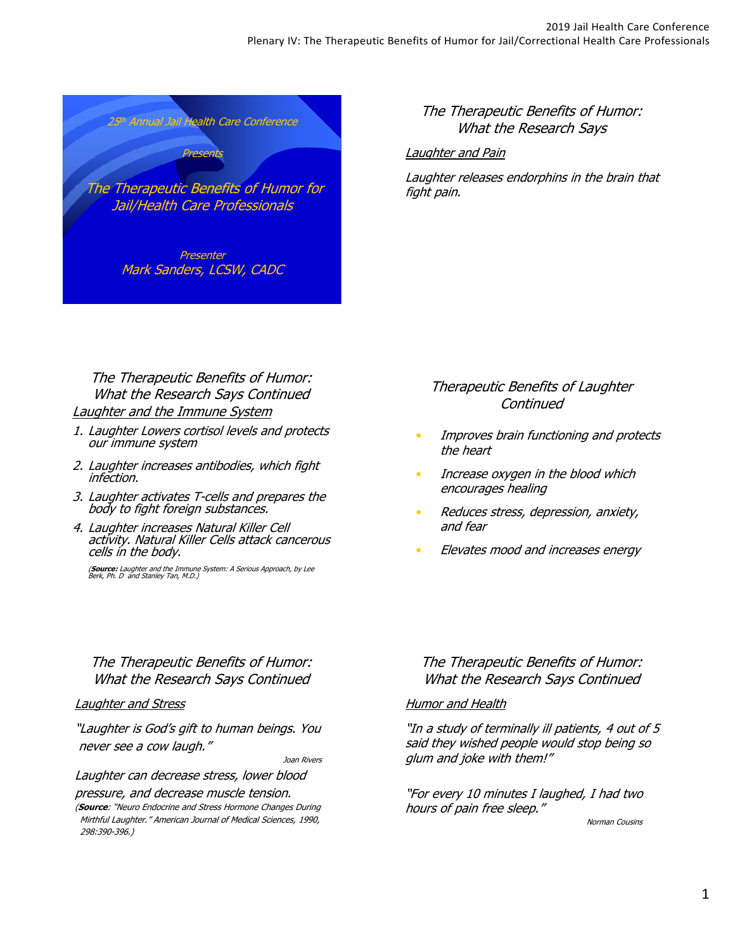

### The Therapeutic Benefits of Humor: What the Research Says

#### Laughter and Pain

Laughter releases endorphins in the brain that fight pain.

## The Therapeutic Benefits of Humor: What the Research Says Continued Laughter and the Immune System

- 1. Laughter Lowers cortisol levels and protects our immune system
- 2. Laughter increases antibodies, which fight infection.
- 3. Laughter activates T-cells and prepares the body to fight foreign substances.
- 4. Laughter increases Natural Killer Cell activity. Natural Killer Cells attack cancerous cells in the body.

(**Source:** Laughter and the Immune System: A Serious Approach, by Lee<br>Berk, Ph. D and Stanley Tan, M.D.)

## The Therapeutic Benefits of Humor: What the Research Says Continued

#### Laughter and Stress

"Laughter is God's gift to human beings. You never see a cow laugh."

Joan Rivers

Laughter can decrease stress, lower blood pressure, and decrease muscle tension.

(**Source**: "Neuro Endocrine and Stress Hormone Changes During Mirthful Laughter." American Journal of Medical Sciences, 1990, 298:390-396.)

# Therapeutic Benefits of Laughter **Continued**

- Improves brain functioning and protects the heart
- Increase oxygen in the blood which encourages healing
- Reduces stress, depression, anxiety, and fear
- Elevates mood and increases energy

## The Therapeutic Benefits of Humor: What the Research Says Continued

#### **Humor and Health**

"In a study of terminally ill patients, 4 out of 5 said they wished people would stop being so glum and joke with them!"

"For every 10 minutes I laughed, I had two hours of pain free sleep."

Norman Cousins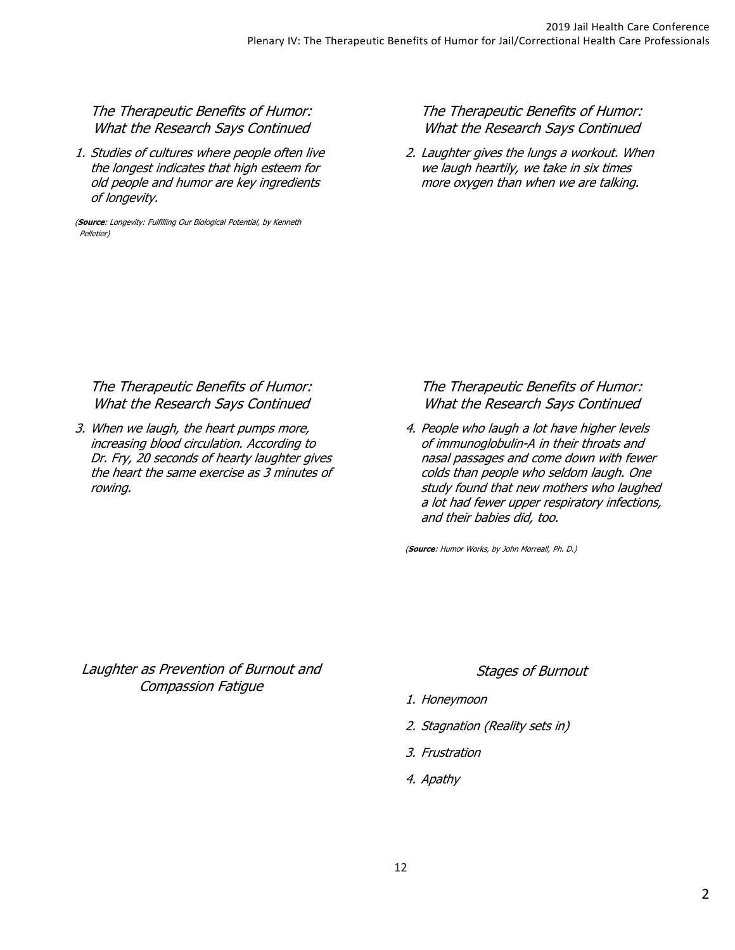## The Therapeutic Benefits of Humor: What the Research Says Continued

1. Studies of cultures where people often live the longest indicates that high esteem for old people and humor are key ingredients of longevity.

(**Source**: Longevity: Fulfilling Our Biological Potential, by Kenneth Pelletier)

## The Therapeutic Benefits of Humor: What the Research Says Continued

2. Laughter gives the lungs a workout. When we laugh heartily, we take in six times more oxygen than when we are talking.

#### The Therapeutic Benefits of Humor: What the Research Says Continued

3. When we laugh, the heart pumps more, increasing blood circulation. According to Dr. Fry, 20 seconds of hearty laughter gives the heart the same exercise as 3 minutes of rowing.

The Therapeutic Benefits of Humor: What the Research Says Continued

4. People who laugh a lot have higher levels of immunoglobulin-A in their throats and nasal passages and come down with fewer colds than people who seldom laugh. One study found that new mothers who laughed a lot had fewer upper respiratory infections, and their babies did, too.

(**Source**: Humor Works, by John Morreall, Ph. D.)

Laughter as Prevention of Burnout and Compassion Fatigue

#### Stages of Burnout

- 1. Honeymoon
- 2. Stagnation (Reality sets in)
- 3. Frustration
- 4. Apathy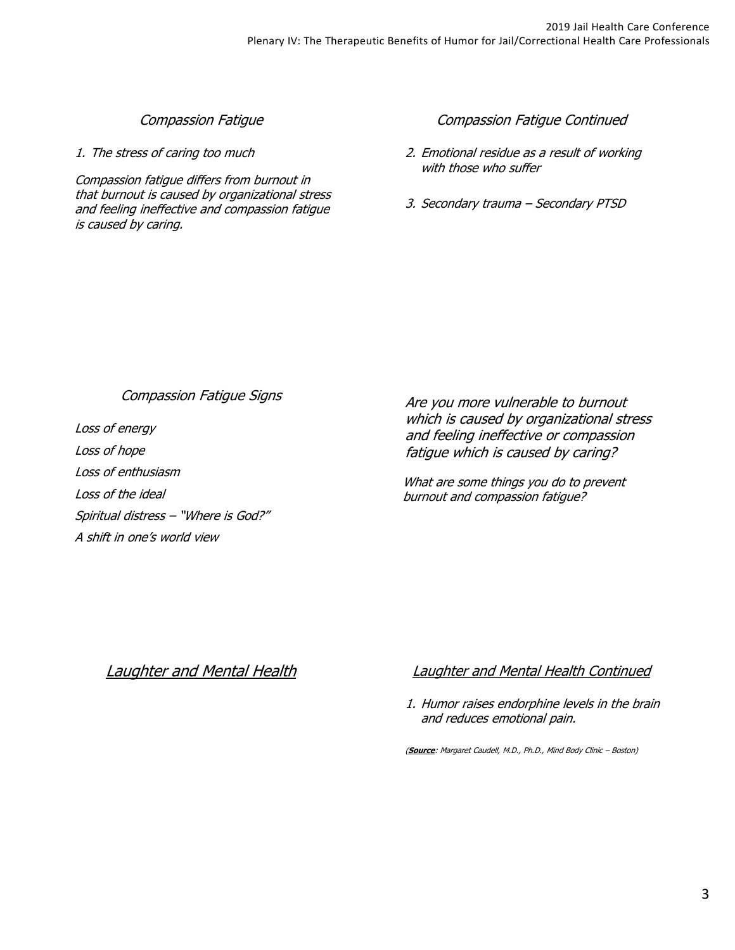## Compassion Fatigue

1. The stress of caring too much

Compassion fatigue differs from burnout in that burnout is caused by organizational stress and feeling ineffective and compassion fatigue is caused by caring.

## Compassion Fatigue Continued

- 2. Emotional residue as a result of working with those who suffer
- 3. Secondary trauma Secondary PTSD

## Compassion Fatigue Signs

Loss of energy Loss of hope Loss of enthusiasm Loss of the ideal Spiritual distress – "Where is God?" A shift in one's world view

Are you more vulnerable to burnout which is caused by organizational stress and feeling ineffective or compassion fatigue which is caused by caring?

What are some things you do to prevent burnout and compassion fatigue?

# Laughter and Mental Health Laughter and Mental Health Continued

1. Humor raises endorphine levels in the brain and reduces emotional pain.

(**Source**: Margaret Caudell, M.D., Ph.D., Mind Body Clinic – Boston)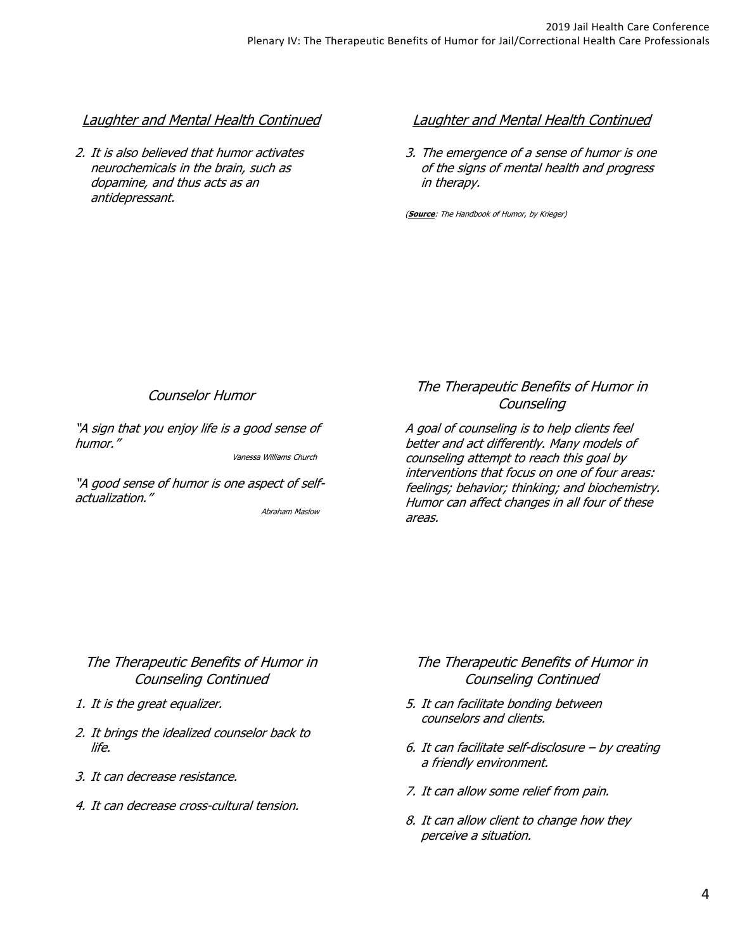## Laughter and Mental Health Continued

2. It is also believed that humor activates neurochemicals in the brain, such as dopamine, and thus acts as an antidepressant.

## Laughter and Mental Health Continued

3. The emergence of a sense of humor is one of the signs of mental health and progress in therapy.

(**Source**: The Handbook of Humor, by Krieger)

## Counselor Humor

"A sign that you enjoy life is a good sense of humor."

Vanessa Williams Church

"A good sense of humor is one aspect of selfactualization."

Abraham Maslow

## The Therapeutic Benefits of Humor in **Counseling**

A goal of counseling is to help clients feel better and act differently. Many models of counseling attempt to reach this goal by interventions that focus on one of four areas: feelings; behavior; thinking; and biochemistry. Humor can affect changes in all four of these areas.

## The Therapeutic Benefits of Humor in Counseling Continued

- 1. It is the great equalizer.
- 2. It brings the idealized counselor back to life.
- 3. It can decrease resistance.
- 4. It can decrease cross-cultural tension.

# The Therapeutic Benefits of Humor in Counseling Continued

- 5. It can facilitate bonding between counselors and clients.
- 6. It can facilitate self-disclosure by creating a friendly environment.
- 7. It can allow some relief from pain.
- 8. It can allow client to change how they perceive a situation.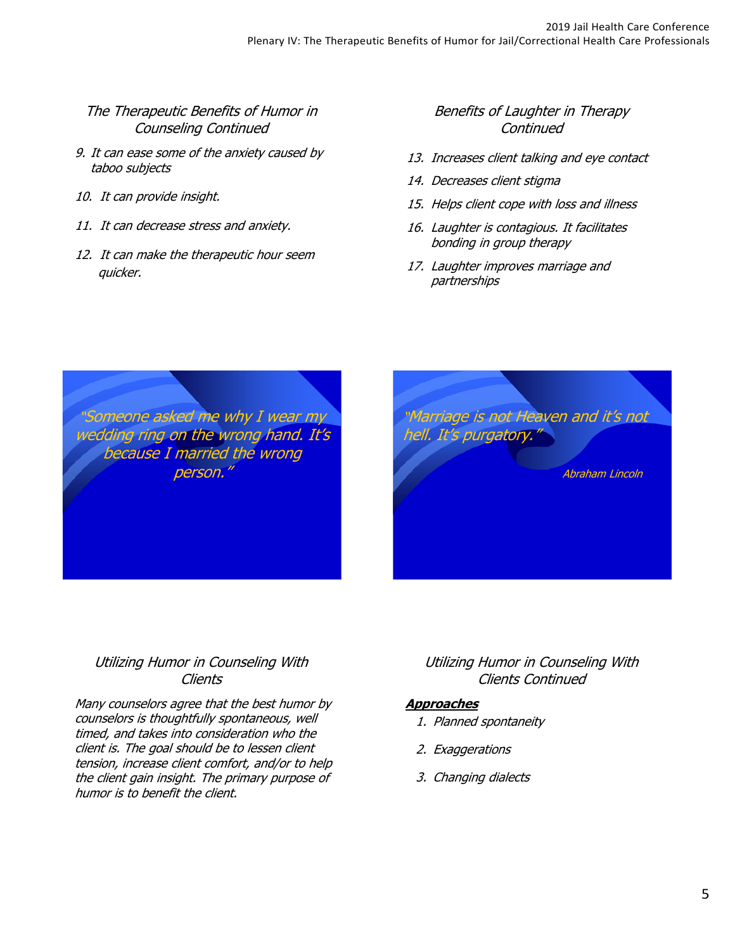## The Therapeutic Benefits of Humor in Counseling Continued

- 9. It can ease some of the anxiety caused by taboo subjects
- 10. It can provide insight.
- 11. It can decrease stress and anxiety.
- 12. It can make the therapeutic hour seem quicker.

# Benefits of Laughter in Therapy **Continued**

- 13. Increases client talking and eye contact
- 14. Decreases client stigma
- 15. Helps client cope with loss and illness
- 16. Laughter is contagious. It facilitates bonding in group therapy
- 17. Laughter improves marriage and partnerships

"Someone asked me why I wear my wedding ring on the wrong hand. It's because I married the wrong person."



# Utilizing Humor in Counseling With **Clients**

Many counselors agree that the best humor by counselors is thoughtfully spontaneous, well timed, and takes into consideration who the client is. The goal should be to lessen client tension, increase client comfort, and/or to help the client gain insight. The primary purpose of humor is to benefit the client.

# Utilizing Humor in Counseling With Clients Continued

## **Approaches**

- 1. Planned spontaneity
- 2. Exaggerations
- 3. Changing dialects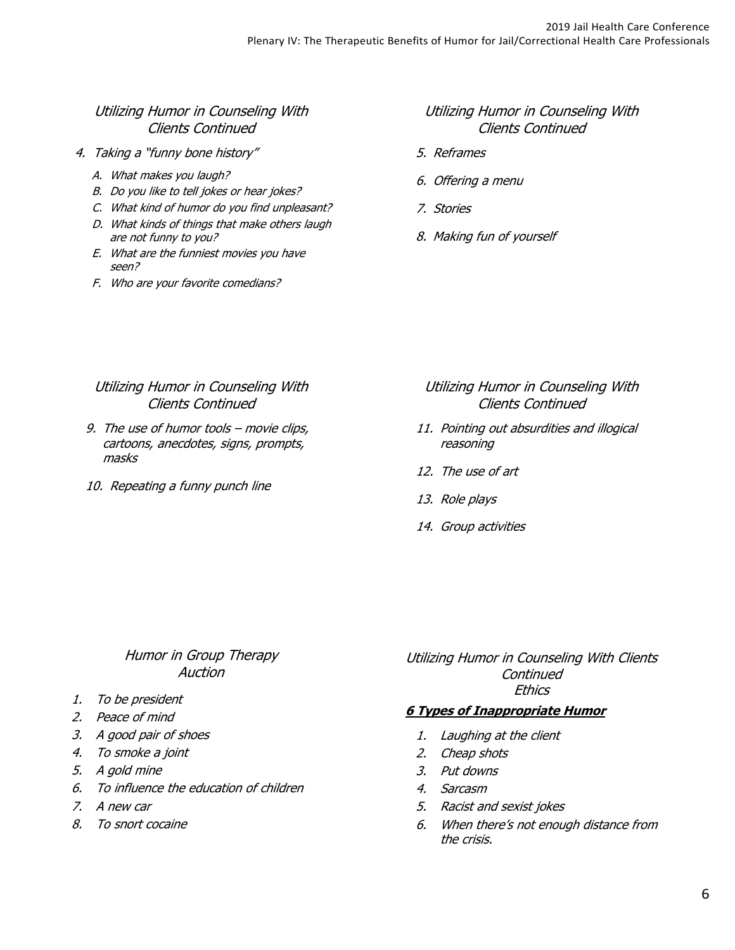## Utilizing Humor in Counseling With Clients Continued

- 4. Taking a "funny bone history"
	- A. What makes you laugh?
	- B. Do you like to tell jokes or hear jokes?
	- C. What kind of humor do you find unpleasant?
	- D. What kinds of things that make others laugh are not funny to you?
	- E. What are the funniest movies you have seen?
	- F. Who are your favorite comedians?

## Utilizing Humor in Counseling With Clients Continued

- 5. Reframes
- 6. Offering a menu
- 7. Stories
- 8. Making fun of yourself

## Utilizing Humor in Counseling With Clients Continued

- 9. The use of humor tools movie clips, cartoons, anecdotes, signs, prompts, masks
- 10. Repeating a funny punch line

### Utilizing Humor in Counseling With Clients Continued

- 11. Pointing out absurdities and illogical reasoning
- 12. The use of art
- 13. Role plays
- 14. Group activities

## Humor in Group Therapy Auction

- 1. To be president
- 2. Peace of mind
- 3. A good pair of shoes
- 4. To smoke a joint
- 5. A gold mine
- 6. To influence the education of children
- 7. A new car
- 8. To snort cocaine

Utilizing Humor in Counseling With Clients **Continued Ethics** 

#### **6 Types of Inappropriate Humor**

- 1. Laughing at the client
- 2. Cheap shots
- 3. Put downs
- 4. Sarcasm
- 5. Racist and sexist jokes
- 6. When there's not enough distance from the crisis.